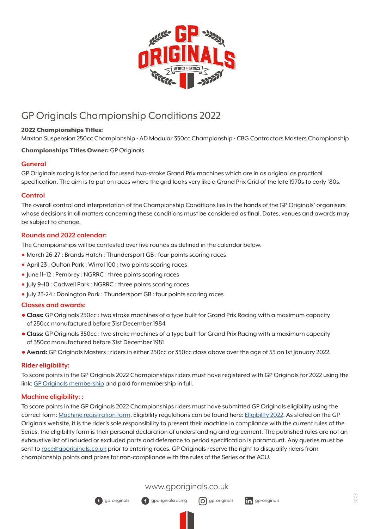

# GP Originals Championship Conditions 2022

# 2022 Championships Titles:

Maxton Suspension 250cc Championship • AD Modular 350cc Championship • CBG Contractors Masters Championship

# Championships Titles Owner: GP Originals

# **General**

GP Originals racing is for period focussed two-stroke Grand Prix machines which are in as original as practical specification. The aim is to put on races where the grid looks very like a Grand Prix Grid of the late 1970s to early '80s.

#### **Control**

The overall control and interpretation of the Championship Conditions lies in the hands of the GP Originals' organisers whose decisions in all matters concerning these conditions must be considered as final. Dates, venues and awards may be subject to change.

# **Rounds and 2022 calendar:**

The Championships will be contested over five rounds as defined in the calendar below.

- March 26-27 : Brands Hatch : Thundersport GB : four points scoring races
- April 23 : Oulton Park : Wirral 100 : two points scoring races
- June 11-12 : Pembrey : NGRRC : three points scoring races
- July 9-10 : Cadwell Park : NGRRC : three points scoring races
- Iuly 23-24 : Donington Park : Thundersport GB : four points scoring races

#### **Classes and awards:**

- **• Class:** GP Originals 250cc : two stroke machines of a type built for Grand Prix Racing with a maximum capacity of 250cc manufactured before 31st December 1984
- **• Class:** GP Originals 350cc : two stroke machines of a type built for Grand Prix Racing with a maximum capacity of 350cc manufactured before 31st December 1981
- **• Award:** GP Originals Masters : riders in either 250cc or 350cc class above over the age of 55 on 1st January 2022.

#### **Rider eligibility:**

To score points in the GP Originals 2022 Championships riders must have registered with GP Originals for 2022 using the link: GP O[riginals membership](https://gporiginals.co.uk/membership/) and paid for membership in full.

#### **Machine eligibility: :**

To score points in the GP Originals 2022 Championships riders must have submitted GP Originals eligibility using the correct form: [Machine registration form.](https://gporiginals.co.uk/wp-content/uploads/2019/02/GPO-machine-registration.pdf) Eligibility regulations can be found here: E[ligibility 202](https://gporiginals.co.uk/eligibility/current-regulations/)2. As stated on the GP Originals website, it is the rider's sole responsibility to present their machine in compliance with the current rules of the Series, the eligibility form is their personal declaration of understanding and agreement. The published rules are not an exhaustive list of included or excluded parts and deference to period specification is paramount. Any queries must be sent to [race@gporiginals.co.uk](mailto:race%40gporiginals.co.uk?subject=Eligibility%20query) prior to entering races. GP Originals reserve the right to disqualify riders from championship points and prizes for non-compliance with the rules of the Series or the ACU.

[www.gporiginals.co.uk](https://gporiginals.co.uk)